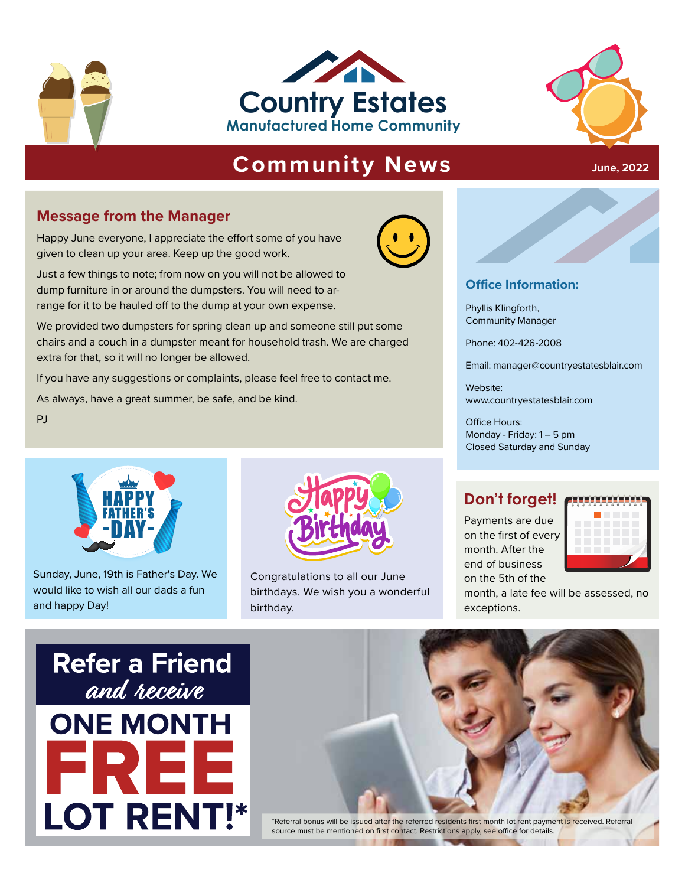





# **Community News**

#### **Message from the Manager**

Happy June everyone, I appreciate the effort some of you have given to clean up your area. Keep up the good work.

Just a few things to note; from now on you will not be allowed to dump furniture in or around the dumpsters. You will need to arrange for it to be hauled off to the dump at your own expense.

Phyllis Klingforth,<br>
expense.<br>
Phyllis Klingforth,<br> **Phyllis Klingforth,**<br> **Phyllis Klingforth,**<br> **Phyllis Klingforth,**<br> **Phyllis Klingforth,**<br> **Phyllis Klingforth,**<br> **Phyllis Klingforth,**<br> **Phone: 402-426-2008** We provided two dumpsters for spring clean up and someone still put some chairs and a couch in a dumpster meant for household trash. We are charged extra for that, so it will no longer be allowed.

If you have any suggestions or complaints, please feel free to contact me.

As always, have a great summer, be safe, and be kind.

PJ



Sunday, June, 19th is Father's Day. We would like to wish all our dads a fun and happy Day!



Congratulations to all our June birthdays. We wish you a wonderful birthday.

#### **Office Information:**

Phyllis Klingforth, Community Manager

Phone: 402-426-2008

Email: manager@countryestatesblair.com **Manufacture Community Email:** manager@countryestatesblair.com<br>
Mebsite:

Website: www.countryestatesblair.com

Office Hours: Monday - Friday: 1 – 5 pm Closed Saturday and Sunday

### **Don't forget!**

Payments are due on the first of every month. After the end of business on the 5th of the



month, a late fee will be assessed, no exceptions.





\*Referral bonus will be issued after the referred residents first month lot rent payment is received. Referral source must be mentioned on first contact. Restrictions apply, see office for details.

#### **June, 2022**